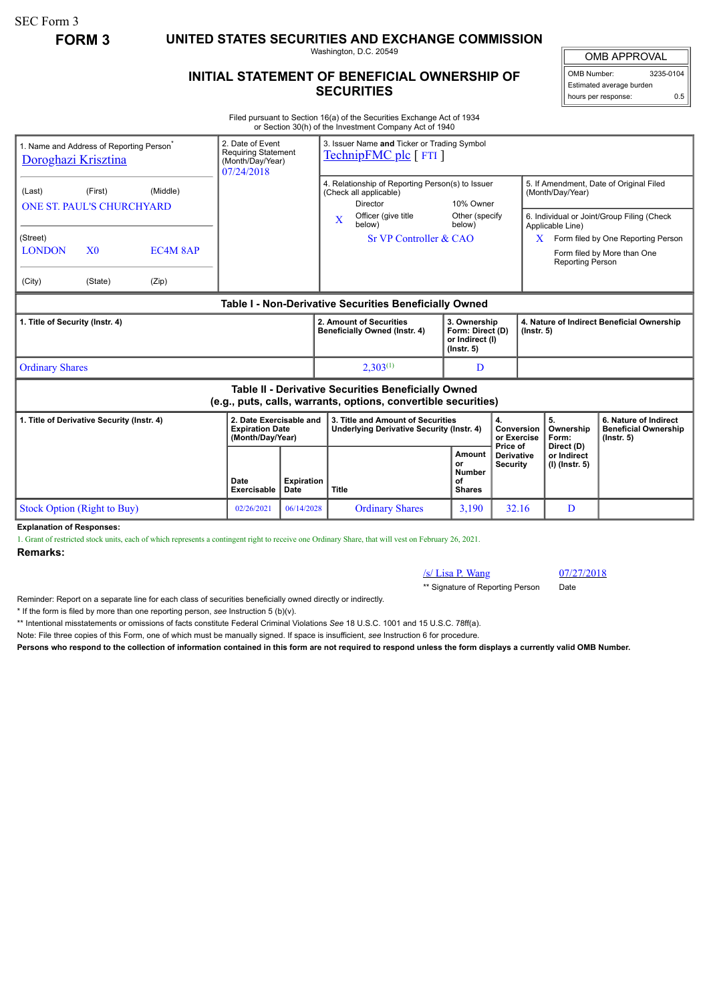SEC Form 3

**FORM 3 UNITED STATES SECURITIES AND EXCHANGE COMMISSION**

Washington, D.C. 20549

## **INITIAL STATEMENT OF BENEFICIAL OWNERSHIP OF SECURITIES**

OMB APPROVAL

OMB Number: 3235-0104 Estimated average burden hours per response: 0.5

Filed pursuant to Section 16(a) of the Securities Exchange Act of 1934 or Section 30(h) of the Investment Company Act of 1940

| 07/24/2018                                                                                                                   |             | 3. Issuer Name and Ticker or Trading Symbol<br>TechnipFMC plc [ FTI ] |                                                                                                         |                                                                                                                 |                                                                                             |                                                                          |  |
|------------------------------------------------------------------------------------------------------------------------------|-------------|-----------------------------------------------------------------------|---------------------------------------------------------------------------------------------------------|-----------------------------------------------------------------------------------------------------------------|---------------------------------------------------------------------------------------------|--------------------------------------------------------------------------|--|
|                                                                                                                              |             | <b>Director</b>                                                       |                                                                                                         |                                                                                                                 | 5. If Amendment, Date of Original Filed<br>(Month/Day/Year)                                 |                                                                          |  |
|                                                                                                                              |             | Officer (give title<br>X<br>below)                                    | below)                                                                                                  |                                                                                                                 | 6. Individual or Joint/Group Filing (Check<br>Applicable Line)                              |                                                                          |  |
|                                                                                                                              |             |                                                                       |                                                                                                         | Form filed by One Reporting Person<br>X                                                                         |                                                                                             |                                                                          |  |
|                                                                                                                              |             |                                                                       |                                                                                                         |                                                                                                                 | Reporting Person                                                                            | Form filed by More than One                                              |  |
|                                                                                                                              |             |                                                                       |                                                                                                         |                                                                                                                 |                                                                                             |                                                                          |  |
| Table I - Non-Derivative Securities Beneficially Owned                                                                       |             |                                                                       |                                                                                                         |                                                                                                                 |                                                                                             |                                                                          |  |
| 1. Title of Security (Instr. 4)                                                                                              |             |                                                                       | 3. Ownership<br>Form: Direct (D)<br>or Indirect (I)<br>$($ lnstr. 5 $)$                                 |                                                                                                                 | 4. Nature of Indirect Beneficial Ownership<br>$($ Instr. 5 $)$                              |                                                                          |  |
| <b>Ordinary Shares</b>                                                                                                       |             | $2.303^{(1)}$                                                         | D                                                                                                       |                                                                                                                 |                                                                                             |                                                                          |  |
| <b>Table II - Derivative Securities Beneficially Owned</b><br>(e.g., puts, calls, warrants, options, convertible securities) |             |                                                                       |                                                                                                         |                                                                                                                 |                                                                                             |                                                                          |  |
| 2. Date Exercisable and<br><b>Expiration Date</b><br>(Month/Day/Year)                                                        |             |                                                                       |                                                                                                         | 4.                                                                                                              | 5.<br>Ownership<br>Form:                                                                    | 6. Nature of Indirect<br><b>Beneficial Ownership</b><br>$($ lnstr. 5 $)$ |  |
| Date<br><b>Exercisable</b>                                                                                                   | <b>Date</b> | <b>Title</b>                                                          | Amount<br>or<br><b>Number</b><br>of<br><b>Shares</b>                                                    | <b>Derivative</b><br><b>Security</b>                                                                            | or Indirect<br>(I) (Instr. 5)                                                               |                                                                          |  |
| 02/26/2021                                                                                                                   | 06/14/2028  | <b>Ordinary Shares</b>                                                | 3,190                                                                                                   | 32.16                                                                                                           | D                                                                                           |                                                                          |  |
|                                                                                                                              |             | 2. Date of Event<br><b>Requiring Statement</b><br>(Month/Day/Year)    | (Check all applicable)<br>2. Amount of Securities<br>Beneficially Owned (Instr. 4)<br><b>Expiration</b> | Sr VP Controller & CAO<br>3. Title and Amount of Securities<br><b>Underlying Derivative Security (Instr. 4)</b> | 4. Relationship of Reporting Person(s) to Issuer<br>10% Owner<br>Other (specify<br>Price of | Conversion<br>or Exercise<br>Direct (D)                                  |  |

**Explanation of Responses:**

1. Grant of restricted stock units, each of which represents a contingent right to receive one Ordinary Share, that will vest on February 26, 2021.

**Remarks:**

/s/ Lisa P. Wang 07/27/2018

\*\* Signature of Reporting Person Date

Reminder: Report on a separate line for each class of securities beneficially owned directly or indirectly.

\* If the form is filed by more than one reporting person, *see* Instruction 5 (b)(v).

\*\* Intentional misstatements or omissions of facts constitute Federal Criminal Violations *See* 18 U.S.C. 1001 and 15 U.S.C. 78ff(a).

Note: File three copies of this Form, one of which must be manually signed. If space is insufficient, *see* Instruction 6 for procedure.

**Persons who respond to the collection of information contained in this form are not required to respond unless the form displays a currently valid OMB Number.**